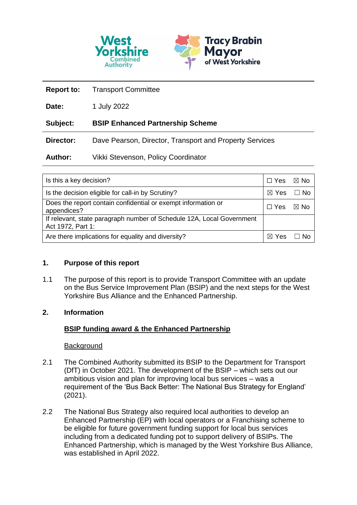

| <b>Report to:</b> | <b>Transport Committee</b>                              |
|-------------------|---------------------------------------------------------|
| Date:             | 1 July 2022                                             |
| Subject:          | <b>BSIP Enhanced Partnership Scheme</b>                 |
| Director:         | Dave Pearson, Director, Transport and Property Services |
| <b>Author:</b>    | Vikki Stevenson, Policy Coordinator                     |

| Is this a key decision?                                                                    | $\Box$ Yes | ⊠ No      |
|--------------------------------------------------------------------------------------------|------------|-----------|
| Is the decision eligible for call-in by Scrutiny?                                          | ⊠ Yes      | $\Box$ No |
| Does the report contain confidential or exempt information or<br>appendices?               |            | ⊠ No      |
| If relevant, state paragraph number of Schedule 12A, Local Government<br>Act 1972, Part 1: |            |           |
| Are there implications for equality and diversity?                                         |            | -No       |

# **1. Purpose of this report**

1.1 The purpose of this report is to provide Transport Committee with an update on the Bus Service Improvement Plan (BSIP) and the next steps for the West Yorkshire Bus Alliance and the Enhanced Partnership.

### **2. Information**

# **BSIP funding award & the Enhanced Partnership**

### **Background**

- 2.1 The Combined Authority submitted its BSIP to the Department for Transport (DfT) in October 2021. The development of the BSIP – which sets out our ambitious vision and plan for improving local bus services – was a requirement of the 'Bus Back Better: The National Bus Strategy for England' (2021).
- 2.2 The National Bus Strategy also required local authorities to develop an Enhanced Partnership (EP) with local operators or a Franchising scheme to be eligible for future government funding support for local bus services including from a dedicated funding pot to support delivery of BSIPs. The Enhanced Partnership, which is managed by the West Yorkshire Bus Alliance, was established in April 2022.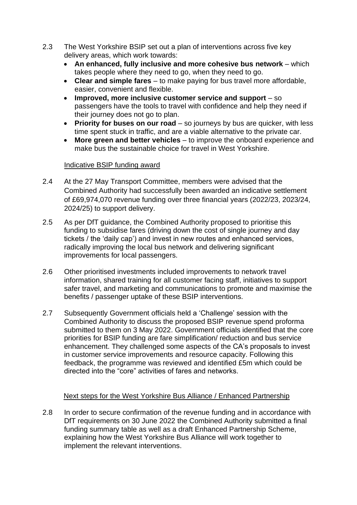- 2.3 The West Yorkshire BSIP set out a plan of interventions across five key delivery areas, which work towards:
	- **An enhanced, fully inclusive and more cohesive bus network** which takes people where they need to go, when they need to go.
	- **Clear and simple fares** to make paying for bus travel more affordable, easier, convenient and flexible.
	- **Improved, more inclusive customer service and support** so passengers have the tools to travel with confidence and help they need if their journey does not go to plan.
	- **Priority for buses on our road** so journeys by bus are quicker, with less time spent stuck in traffic, and are a viable alternative to the private car.
	- **More green and better vehicles** to improve the onboard experience and make bus the sustainable choice for travel in West Yorkshire.

### Indicative BSIP funding award

- 2.4 At the 27 May Transport Committee, members were advised that the Combined Authority had successfully been awarded an indicative settlement of £69,974,070 revenue funding over three financial years (2022/23, 2023/24, 2024/25) to support delivery.
- 2.5 As per DfT guidance, the Combined Authority proposed to prioritise this funding to subsidise fares (driving down the cost of single journey and day tickets / the 'daily cap') and invest in new routes and enhanced services, radically improving the local bus network and delivering significant improvements for local passengers.
- 2.6 Other prioritised investments included improvements to network travel information, shared training for all customer facing staff, initiatives to support safer travel, and marketing and communications to promote and maximise the benefits / passenger uptake of these BSIP interventions.
- 2.7 Subsequently Government officials held a 'Challenge' session with the Combined Authority to discuss the proposed BSIP revenue spend proforma submitted to them on 3 May 2022. Government officials identified that the core priorities for BSIP funding are fare simplification/ reduction and bus service enhancement. They challenged some aspects of the CA's proposals to invest in customer service improvements and resource capacity. Following this feedback, the programme was reviewed and identified £5m which could be directed into the "core" activities of fares and networks.

# Next steps for the West Yorkshire Bus Alliance / Enhanced Partnership

2.8 In order to secure confirmation of the revenue funding and in accordance with DfT requirements on 30 June 2022 the Combined Authority submitted a final funding summary table as well as a draft Enhanced Partnership Scheme, explaining how the West Yorkshire Bus Alliance will work together to implement the relevant interventions.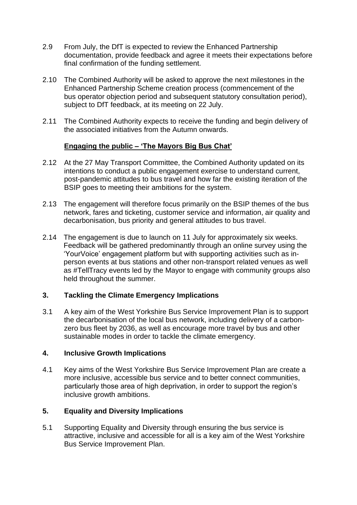- 2.9 From July, the DfT is expected to review the Enhanced Partnership documentation, provide feedback and agree it meets their expectations before final confirmation of the funding settlement.
- 2.10 The Combined Authority will be asked to approve the next milestones in the Enhanced Partnership Scheme creation process (commencement of the bus operator objection period and subsequent statutory consultation period), subject to DfT feedback, at its meeting on 22 July.
- 2.11 The Combined Authority expects to receive the funding and begin delivery of the associated initiatives from the Autumn onwards.

### **Engaging the public – 'The Mayors Big Bus Chat'**

- 2.12 At the 27 May Transport Committee, the Combined Authority updated on its intentions to conduct a public engagement exercise to understand current, post-pandemic attitudes to bus travel and how far the existing iteration of the BSIP goes to meeting their ambitions for the system.
- 2.13 The engagement will therefore focus primarily on the BSIP themes of the bus network, fares and ticketing, customer service and information, air quality and decarbonisation, bus priority and general attitudes to bus travel.
- 2.14 The engagement is due to launch on 11 July for approximately six weeks. Feedback will be gathered predominantly through an online survey using the 'YourVoice' engagement platform but with supporting activities such as inperson events at bus stations and other non-transport related venues as well as #TellTracy events led by the Mayor to engage with community groups also held throughout the summer.

# **3. Tackling the Climate Emergency Implications**

3.1 A key aim of the West Yorkshire Bus Service Improvement Plan is to support the decarbonisation of the local bus network, including delivery of a carbonzero bus fleet by 2036, as well as encourage more travel by bus and other sustainable modes in order to tackle the climate emergency.

### **4. Inclusive Growth Implications**

4.1 Key aims of the West Yorkshire Bus Service Improvement Plan are create a more inclusive, accessible bus service and to better connect communities, particularly those area of high deprivation, in order to support the region's inclusive growth ambitions.

### **5. Equality and Diversity Implications**

5.1 Supporting Equality and Diversity through ensuring the bus service is attractive, inclusive and accessible for all is a key aim of the West Yorkshire Bus Service Improvement Plan.